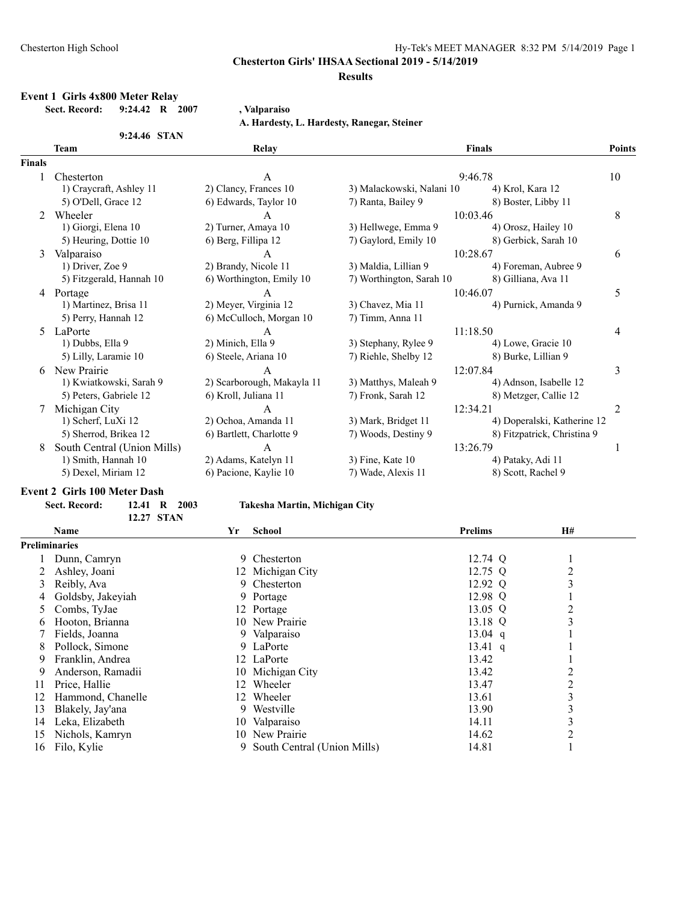#### **Results**

#### **Event 1 Girls 4x800 Meter Relay Sect. Record: 9:24.42 R 2007 , Valparaiso**

**A. Hardesty, L. Hardesty, Ranegar, Steiner**

|               | 9:24.46 STAN                |                            |                           |                             |                |
|---------------|-----------------------------|----------------------------|---------------------------|-----------------------------|----------------|
|               | Team                        | Relay                      |                           | <b>Finals</b>               | Points         |
| <b>Finals</b> |                             |                            |                           |                             |                |
|               | Chesterton                  | A                          |                           | 9:46.78                     | 10             |
|               | 1) Craycraft, Ashley 11     | 2) Clancy, Frances 10      | 3) Malackowski, Nalani 10 | 4) Krol, Kara 12            |                |
|               | 5) O'Dell, Grace 12         | 6) Edwards, Taylor 10      | 7) Ranta, Bailey 9        | 8) Boster, Libby 11         |                |
| 2             | Wheeler                     | A                          |                           | 10:03.46                    | 8              |
|               | 1) Giorgi, Elena 10         | 2) Turner, Amaya 10        | 3) Hellwege, Emma 9       | 4) Orosz, Hailey 10         |                |
|               | 5) Heuring, Dottie 10       | 6) Berg, Fillipa 12        | 7) Gaylord, Emily 10      | 8) Gerbick, Sarah 10        |                |
| 3             | Valparaiso                  | A                          |                           | 10:28.67                    | 6              |
|               | 1) Driver, Zoe 9            | 2) Brandy, Nicole 11       | 3) Maldia, Lillian 9      | 4) Foreman, Aubree 9        |                |
|               | 5) Fitzgerald, Hannah 10    | 6) Worthington, Emily 10   | 7) Worthington, Sarah 10  | 8) Gilliana, Ava 11         |                |
| 4             | Portage                     |                            |                           | 10:46.07                    | 5              |
|               | 1) Martinez, Brisa 11       | 2) Meyer, Virginia 12      | 3) Chavez, Mia 11         | 4) Purnick, Amanda 9        |                |
|               | 5) Perry, Hannah 12         | 6) McCulloch, Morgan 10    | 7) Timm, Anna 11          |                             |                |
| 5.            | LaPorte                     | A                          |                           | 11:18.50                    | 4              |
|               | 1) Dubbs, Ella 9            | 2) Minich, Ella 9          | 3) Stephany, Rylee 9      | 4) Lowe, Gracie 10          |                |
|               | 5) Lilly, Laramie 10        | 6) Steele, Ariana 10       | 7) Riehle, Shelby 12      | 8) Burke, Lillian 9         |                |
| 6             | New Prairie                 | A                          |                           | 12:07.84                    | 3              |
|               | 1) Kwiatkowski, Sarah 9     | 2) Scarborough, Makayla 11 | 3) Matthys, Maleah 9      | 4) Adnson, Isabelle 12      |                |
|               | 5) Peters, Gabriele 12      | 6) Kroll, Juliana 11       | 7) Fronk, Sarah 12        | 8) Metzger, Callie 12       |                |
|               | Michigan City               | A                          | 12:34.21                  |                             | $\overline{2}$ |
|               | 1) Scherf, LuXi 12          | 2) Ochoa, Amanda 11        | 3) Mark, Bridget 11       | 4) Doperalski, Katherine 12 |                |
|               | 5) Sherrod, Brikea 12       | 6) Bartlett, Charlotte 9   | 7) Woods, Destiny 9       | 8) Fitzpatrick, Christina 9 |                |
| 8             | South Central (Union Mills) | A                          |                           | 13:26.79                    |                |
|               | 1) Smith, Hannah 10         | 2) Adams, Katelyn 11       | 3) Fine, Kate 10          | 4) Pataky, Adi 11           |                |
|               | 5) Dexel, Miriam 12         | 6) Pacione, Kaylie 10      | 7) Wade, Alexis 11        | 8) Scott, Rachel 9          |                |

#### **Event 2 Girls 100 Meter Dash**

| Sect. Record: | 12.41 R 2003      | Tako           |
|---------------|-------------------|----------------|
|               | <b>12.27 STAN</b> |                |
| Namo          |                   | $\mathbf{V}$ r |

#### **Sect. Record: 12.41 R 2003 Takesha Martin, Michigan City**

| <b>Name</b>       | Yr            | <b>School</b>               | <b>Prelims</b>                                                                                                                                                                                                  | H#             |
|-------------------|---------------|-----------------------------|-----------------------------------------------------------------------------------------------------------------------------------------------------------------------------------------------------------------|----------------|
|                   |               |                             |                                                                                                                                                                                                                 |                |
| Dunn, Camryn      |               |                             | 12.74 Q                                                                                                                                                                                                         |                |
| Ashley, Joani     |               |                             | $12.75$ Q                                                                                                                                                                                                       | $\overline{c}$ |
| Reibly, Ava       |               |                             | 12.92 Q                                                                                                                                                                                                         | 3              |
| Goldsby, Jakeviah |               |                             | 12.98 Q                                                                                                                                                                                                         |                |
| Combs, TyJae      |               |                             | $13.05 \ Q$                                                                                                                                                                                                     |                |
| Hooton, Brianna   |               |                             | 13.18 Q                                                                                                                                                                                                         | 3              |
| Fields, Joanna    |               |                             | $13.04$ q                                                                                                                                                                                                       |                |
| Pollock, Simone   |               |                             | $13.41 \text{ q}$                                                                                                                                                                                               |                |
| Franklin, Andrea  |               |                             | 13.42                                                                                                                                                                                                           |                |
| Anderson, Ramadii |               |                             | 13.42                                                                                                                                                                                                           |                |
| Price, Hallie     |               | Wheeler                     | 13.47                                                                                                                                                                                                           | 2              |
| Hammond, Chanelle |               | Wheeler                     | 13.61                                                                                                                                                                                                           | 3              |
| Blakely, Jay'ana  |               |                             | 13.90                                                                                                                                                                                                           | 3              |
| Leka, Elizabeth   |               | Valparaiso                  | 14.11                                                                                                                                                                                                           | 3              |
| Nichols, Kamryn   |               |                             | 14.62                                                                                                                                                                                                           | 2              |
| Filo, Kylie       |               | South Central (Union Mills) | 14.81                                                                                                                                                                                                           |                |
|                   | Preliminaries |                             | 9 Chesterton<br>12 Michigan City<br>9 Chesterton<br>9 Portage<br>12 Portage<br>10 New Prairie<br>9 Valparaiso<br>9 LaPorte<br>12 LaPorte<br>10 Michigan City<br>12<br>12<br>9 Westville<br>10<br>10 New Prairie |                |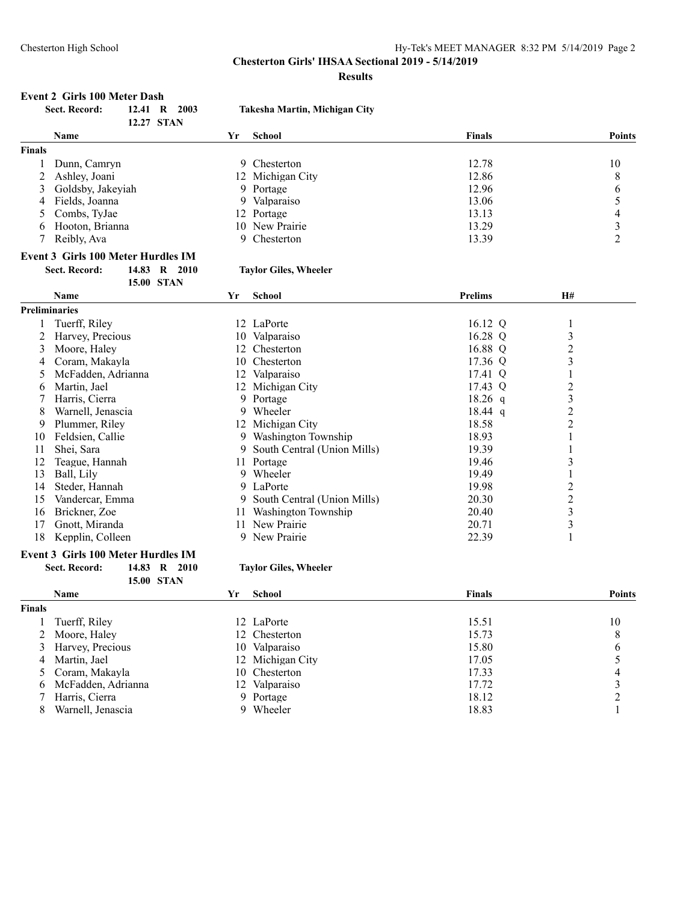**Results**

#### **Event 2 Girls 100 Meter Dash**

|               | Sect. Record:                             | 12.41 R |                   | 2003 | Takesha Martin, Michigan City |                |                |                |
|---------------|-------------------------------------------|---------|-------------------|------|-------------------------------|----------------|----------------|----------------|
|               |                                           |         | 12.27 STAN        |      |                               |                |                |                |
|               | Name                                      |         |                   | Yr   | <b>School</b>                 | <b>Finals</b>  |                | <b>Points</b>  |
| Finals        |                                           |         |                   |      |                               |                |                |                |
|               | Dunn, Camryn                              |         |                   |      | Chesterton<br>9.              | 12.78          |                | 10             |
| 2             | Ashley, Joani                             |         |                   |      | 12 Michigan City              | 12.86          |                | 8              |
| 3             | Goldsby, Jakeyiah                         |         |                   |      | 9 Portage                     | 12.96          |                | 6              |
|               | Fields, Joanna                            |         |                   |      | Valparaiso<br>9.              | 13.06          |                | 5              |
| 5             | Combs, TyJae                              |         |                   | 12   | Portage                       | 13.13          |                | 4              |
| 6             | Hooton, Brianna                           |         |                   |      | New Prairie<br>10             | 13.29          |                | 3              |
|               | Reibly, Ava                               |         |                   |      | Chesterton<br>9.              | 13.39          |                | $\overline{2}$ |
|               | <b>Event 3 Girls 100 Meter Hurdles IM</b> |         |                   |      |                               |                |                |                |
|               | <b>Sect. Record:</b>                      |         | 14.83 R 2010      |      | <b>Taylor Giles, Wheeler</b>  |                |                |                |
|               |                                           |         | <b>15.00 STAN</b> |      |                               |                |                |                |
|               | <b>Name</b>                               |         |                   | Yr   | <b>School</b>                 | <b>Prelims</b> | <b>H#</b>      |                |
| Preliminaries |                                           |         |                   |      |                               |                |                |                |
|               | Tuerff, Riley                             |         |                   |      | 12 LaPorte                    | 16.12 Q        | 1              |                |
|               | Harvey, Precious                          |         |                   |      | Valparaiso<br>10              | 16.28 Q        | 3              |                |
| 3             | Moore, Haley                              |         |                   | 12   | Chesterton                    | 16.88 Q        | $\overline{c}$ |                |
|               | Coram, Makayla                            |         |                   | 10   | Chesterton                    | 17.36 Q        | 3              |                |
| 5             | McFadden, Adrianna                        |         |                   | 12   | Valparaiso                    | 17.41 Q        |                |                |
| 6             | Martin, Jael                              |         |                   |      | 12 Michigan City              | 17.43 Q        | $\overline{c}$ |                |
|               | Harris, Cierra                            |         |                   |      | Portage<br>9.                 | $18.26$ q      | 3              |                |
| 8             | Warnell, Jenascia                         |         |                   |      | 9 Wheeler                     | $18.44$ q      | 2              |                |

# 18 Kepplin, Colleen 9 New Prairie 22.39 1

#### **Event 3 Girls 100 Meter Hurdles IM**

**15.00 STAN**

#### **Sect. Record: 14.83 R 2010 Taylor Giles, Wheeler**

8 Warnell, Jenascia 9 Wheeler 18.44 q 2<br>
9 Plummer, Riley 12 Michigan City 18.58 2

10 Feldsien, Callie 18.93 1<br>
11 Shei, Sara 19 South Central (Union Mills) 19.39 1<br>
11 Shei, Sara 19.39 1

12 Teague, Hannah 11 Portage 19.46 3<br>
13 Ball, Lily 9 Wheeler 19.49 1 13 Ball, Lily 19.49 19.49 19.49 19.49 19.49 19.49 19.49 19.49 19.49 19.49 19.49 19.49 19.49 19.49 19.49 19.49 1 14 Steder, Hannah 19.98 2<br>15 Vandercar, Emma 19.98 2 9 South Central (Union Mills) 2 20.30 2 2

16 Brickner, Zoe 11 Washington Township 20.40 3<br>17 Gnott, Miranda 11 New Prairie 20.71 3

9 South Central (Union Mills) 19.39 1

9 Plummer, Riley 12 Michigan City 18.58 2

15 Vandercar, Emma 9 South Central (Union Mills) 20.30 2

17 Gnott, Miranda 11 New Prairie 20.71

|               | <b>Name</b>          | Yr | School           | <b>Finals</b> | <b>Points</b> |
|---------------|----------------------|----|------------------|---------------|---------------|
| <b>Finals</b> |                      |    |                  |               |               |
|               | Tuerff, Riley        |    | 12 LaPorte       | 15.51         | 10            |
|               | 2 Moore, Haley       |    | 12 Chesterton    | 15.73         | 8             |
|               | 3 Harvey, Precious   |    | 10 Valparaiso    | 15.80         | 6             |
|               | 4 Martin, Jael       |    | 12 Michigan City | 17.05         |               |
|               | 5 Coram, Makayla     |    | 10 Chesterton    | 17.33         |               |
|               | 6 McFadden, Adrianna |    | 12 Valparaiso    | 17.72         |               |
|               | Harris, Cierra       |    | 9 Portage        | 18.12         |               |
| 8             | Warnell, Jenascia    |    | 9 Wheeler        | 18.83         |               |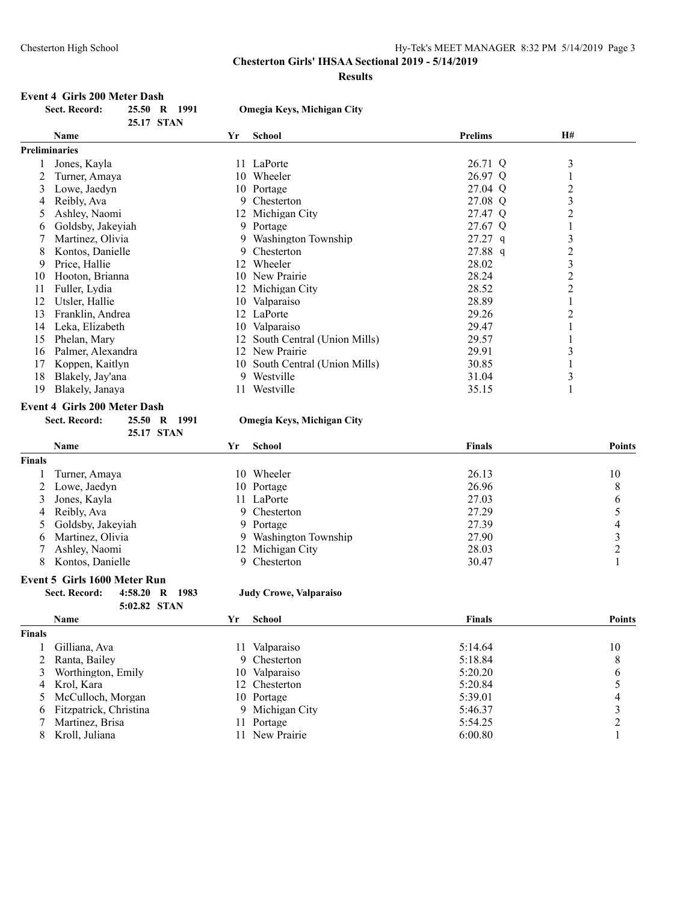**Results**

# **Event 4 Girls 200 Meter Dash<br>Sect. Record:** 25.50 R 1991

|               | Sect. Record:     | 25.50 | R 1991     |    | Omegia Keys, Michigan City  |                |    |  |
|---------------|-------------------|-------|------------|----|-----------------------------|----------------|----|--|
|               |                   |       | 25.17 STAN |    |                             |                |    |  |
|               | <b>Name</b>       |       |            | Yr | School                      | <b>Prelims</b> | H# |  |
| Preliminaries |                   |       |            |    |                             |                |    |  |
|               | Jones, Kayla      |       |            |    | 11 LaPorte                  | 26.71 Q        | 3  |  |
|               | Turner, Amaya     |       |            | 10 | Wheeler                     | 26.97 Q        |    |  |
| 3             | Lowe, Jaedyn      |       |            |    | 10 Portage                  | 27.04 Q        | 2  |  |
| 4             | Reibly, Ava       |       |            | 9. | Chesterton                  | 27.08 Q        | 3  |  |
| 5             | Ashley, Naomi     |       |            |    | 12 Michigan City            | 27.47 Q        | 2  |  |
| 6             | Goldsby, Jakeviah |       |            |    | 9 Portage                   | 27.67 Q        |    |  |
|               | Martinez, Olivia  |       |            | -9 | Washington Township         | $27.27$ q      | 3  |  |
| 8             | Kontos, Danielle  |       |            | 9  | Chesterton                  | 27.88 q        | 2  |  |
| 9             | Price, Hallie     |       |            | 12 | Wheeler                     | 28.02          | 3  |  |
| 10            | Hooton, Brianna   |       |            | 10 | New Prairie                 | 28.24          | 2  |  |
| 11            | Fuller, Lydia     |       |            |    | 12 Michigan City            | 28.52          | 2  |  |
| 12            | Utsler, Hallie    |       |            | 10 | Valparaiso                  | 28.89          |    |  |
| 13            | Franklin, Andrea  |       |            |    | 12 LaPorte                  | 29.26          | 2  |  |
| 14            | Leka, Elizabeth   |       |            | 10 | Valparaiso                  | 29.47          |    |  |
| 15            | Phelan, Mary      |       |            | 12 | South Central (Union Mills) | 29.57          |    |  |
| 16            | Palmer, Alexandra |       |            | 12 | New Prairie                 | 29.91          | 3  |  |
| 17            | Koppen, Kaitlyn   |       |            | 10 | South Central (Union Mills) | 30.85          |    |  |
| 18            | Blakely, Jay'ana  |       |            | 9. | Westville                   | 31.04          | 3  |  |
| 19            | Blakely, Janaya   |       |            | 11 | Westville                   | 35.15          |    |  |

# **Event 4 Girls 200 Meter Dash<br>Sect. Record:** 25.50 R

| ord: | 25.50 R 199 |  |
|------|-------------|--|
|      | 25.17 STAN  |  |

#### **Sect. Record: 25.50 R 1991 Omegia Keys, Michigan City**

|               | <b>Name</b>         | Yr  | School                | <b>Finals</b> | <b>Points</b> |
|---------------|---------------------|-----|-----------------------|---------------|---------------|
| <b>Finals</b> |                     |     |                       |               |               |
|               | Turner, Amaya       | 10. | Wheeler               | 26.13         | 10            |
|               | 2 Lowe, Jaedyn      |     | 10 Portage            | 26.96         | 8             |
|               | 3 Jones, Kayla      |     | 11 LaPorte            | 27.03         | O             |
|               | 4 Reibly, Ava       |     | 9 Chesterton          | 27.29         |               |
|               | 5 Goldsby, Jakeyiah |     | 9 Portage             | 27.39         | 4             |
|               | 6 Martinez, Olivia  |     | 9 Washington Township | 27.90         |               |
|               | 7 Ashley, Naomi     |     | 12 Michigan City      | 28.03         |               |
|               | 8 Kontos, Danielle  |     | Chesterton            | 30.47         |               |

#### **Event 5 Girls 1600 Meter Run**

**Sect. Record: 4:58.20 R 1983 Judy Crowe, Valparaiso 5:02.82 STAN**

|               | <b>Name</b>              | Yr | <b>School</b>   | <b>Finals</b> | Points |
|---------------|--------------------------|----|-----------------|---------------|--------|
| <b>Finals</b> |                          |    |                 |               |        |
|               | Gilliana, Ava            |    | Valparaiso      | 5:14.64       | 10     |
|               | 2 Ranta, Bailey          |    | 9 Chesterton    | 5:18.84       | Ô      |
|               | 3 Worthington, Emily     |    | 10 Valparaiso   | 5:20.20       | b      |
|               | 4 Krol, Kara             |    | 12 Chesterton   | 5:20.84       |        |
|               | 5 McCulloch, Morgan      |    | 10 Portage      | 5:39.01       | 4      |
|               | 6 Fitzpatrick, Christina |    | 9 Michigan City | 5:46.37       |        |
|               | Martinez, Brisa          |    | 11 Portage      | 5:54.25       |        |
|               | Kroll, Juliana           |    | 11 New Prairie  | 6:00.80       |        |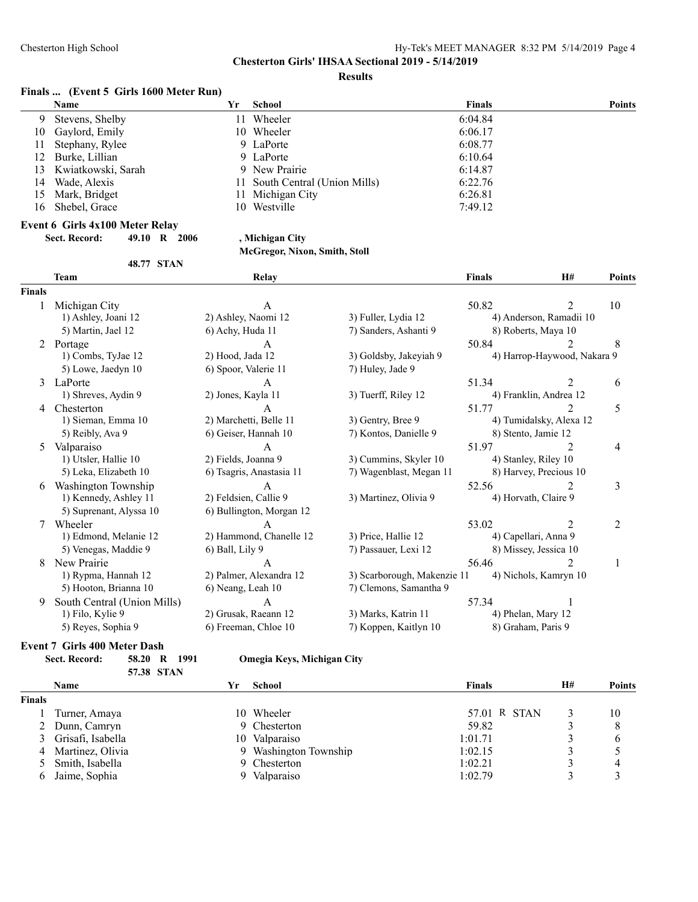**Results**

#### **Finals ... (Event 5 Girls 1600 Meter Run)**

|     | <b>Name</b>           | Yr | School                         | <b>Finals</b> | <b>Points</b> |
|-----|-----------------------|----|--------------------------------|---------------|---------------|
| 9   | Stevens, Shelby       | 11 | Wheeler                        | 6:04.84       |               |
| 10  | Gaylord, Emily        |    | 10 Wheeler                     | 6:06.17       |               |
| 11  | Stephany, Rylee       |    | 9 LaPorte                      | 6:08.77       |               |
|     | 12 Burke, Lillian     |    | 9 LaPorte                      | 6:10.64       |               |
|     | 13 Kwiatkowski, Sarah |    | 9 New Prairie                  | 6:14.87       |               |
| 14  | Wade, Alexis          |    | 11 South Central (Union Mills) | 6:22.76       |               |
| 15. | Mark, Bridget         |    | 11 Michigan City               | 6:26.81       |               |
| 16  | Shebel, Grace         |    | 10 Westville                   | 7:49.12       |               |

#### **Event 6 Girls 4x100 Meter Relay**

| <b>Sect. Record:</b> | 49.10 R 2006 |  |
|----------------------|--------------|--|
|                      |              |  |

# **Sect. Record: 49.10 R 2006 , Michigan City**

### **McGregor, Nixon, Smith, Stoll**

|        | <b>48.77 STAN</b>                                                       |                                                        |                                                       |               |                                                     |        |
|--------|-------------------------------------------------------------------------|--------------------------------------------------------|-------------------------------------------------------|---------------|-----------------------------------------------------|--------|
|        | <b>Team</b>                                                             | Relay                                                  |                                                       | <b>Finals</b> | <b>H#</b>                                           | Points |
| Finals |                                                                         |                                                        |                                                       |               |                                                     |        |
| 1      | Michigan City<br>1) Ashley, Joani 12<br>5) Martin, Jael 12              | A<br>2) Ashley, Naomi 12<br>6) Achy, Huda 11           | 3) Fuller, Lydia 12<br>7) Sanders, Ashanti 9          | 50.82         | 4) Anderson, Ramadii 10<br>8) Roberts, Maya 10      | 10     |
| 2      | Portage<br>1) Combs, TyJae 12<br>5) Lowe, Jaedyn 10                     | A<br>2) Hood, Jada 12<br>6) Spoor, Valerie 11          | 3) Goldsby, Jakeyiah 9<br>7) Huley, Jade 9            | 50.84         | 4) Harrop-Haywood, Nakara 9                         | 8      |
| 3      | LaPorte<br>1) Shreves, Aydin 9                                          | $\mathsf{A}$<br>2) Jones, Kayla 11                     | 3) Tuerff, Riley 12                                   | 51.34         | $\mathfrak{D}$<br>4) Franklin, Andrea 12            | 6      |
| 4      | Chesterton<br>1) Sieman, Emma 10<br>5) Reibly, Ava 9                    | A<br>2) Marchetti, Belle 11<br>6) Geiser, Hannah 10    | 3) Gentry, Bree 9<br>7) Kontos, Danielle 9            | 51.77         | 2<br>4) Tumidalsky, Alexa 12<br>8) Stento, Jamie 12 | 5      |
| 5      | Valparaiso<br>1) Utsler, Hallie 10<br>5) Leka, Elizabeth 10             | A<br>2) Fields, Joanna 9<br>6) Tsagris, Anastasia 11   | 3) Cummins, Skyler 10<br>7) Wagenblast, Megan 11      | 51.97         | 2<br>4) Stanley, Riley 10<br>8) Harvey, Precious 10 | 4      |
| 6      | Washington Township<br>1) Kennedy, Ashley 11<br>5) Suprenant, Alyssa 10 | A<br>2) Feldsien, Callie 9<br>6) Bullington, Morgan 12 | 3) Martinez, Olivia 9                                 | 52.56         | 4) Horvath, Claire 9                                | 3      |
| 7      | Wheeler<br>1) Edmond, Melanie 12<br>5) Venegas, Maddie 9                | A<br>2) Hammond, Chanelle 12<br>6) Ball, Lily 9        | 3) Price, Hallie 12<br>7) Passauer, Lexi 12           | 53.02         | 2<br>4) Capellari, Anna 9<br>8) Missey, Jessica 10  | 2      |
| 8      | New Prairie<br>1) Rypma, Hannah 12<br>5) Hooton, Brianna 10             | A<br>2) Palmer, Alexandra 12<br>6) Neang, Leah 10      | 3) Scarborough, Makenzie 11<br>7) Clemons, Samantha 9 | 56.46         | $\mathfrak{D}$<br>4) Nichols, Kamryn 10             |        |
| 9      | South Central (Union Mills)<br>1) Filo, Kylie 9<br>5) Reyes, Sophia 9   | A<br>2) Grusak, Raeann 12<br>6) Freeman, Chloe 10      | 3) Marks, Katrin 11<br>7) Koppen, Kaitlyn 10          | 57.34         | 4) Phelan, Mary 12<br>8) Graham, Paris 9            |        |

# **Event 7 Girls 400 Meter Dash**

| EVENT / GIFIS 400 METER DASN |                   |                 |    |                            |               |    |               |
|------------------------------|-------------------|-----------------|----|----------------------------|---------------|----|---------------|
|                              | Sect. Record:     | 1991<br>58.20 R |    | Omegia Keys, Michigan City |               |    |               |
|                              |                   | 57.38 STAN      |    |                            |               |    |               |
|                              | <b>Name</b>       |                 | Yr | School                     | <b>Finals</b> | H# | <b>Points</b> |
| Finals                       |                   |                 |    |                            |               |    |               |
|                              | Turner, Amaya     |                 | 10 | Wheeler                    | 57.01 R STAN  |    | 10            |
|                              | Dunn, Camryn      |                 |    | 9 Chesterton               | 59.82         |    | 8             |
|                              | Grisafi, Isabella |                 | 10 | Valparaiso                 | 1:01.71       |    | 6             |
| 4                            | Martinez, Olivia  |                 |    | 9 Washington Township      | 1:02.15       |    |               |
|                              | Smith, Isabella   |                 |    | 9 Chesterton               | 1:02.21       |    |               |
| 6                            | Jaime, Sophia     |                 |    | Valparaiso                 | 1:02.79       |    |               |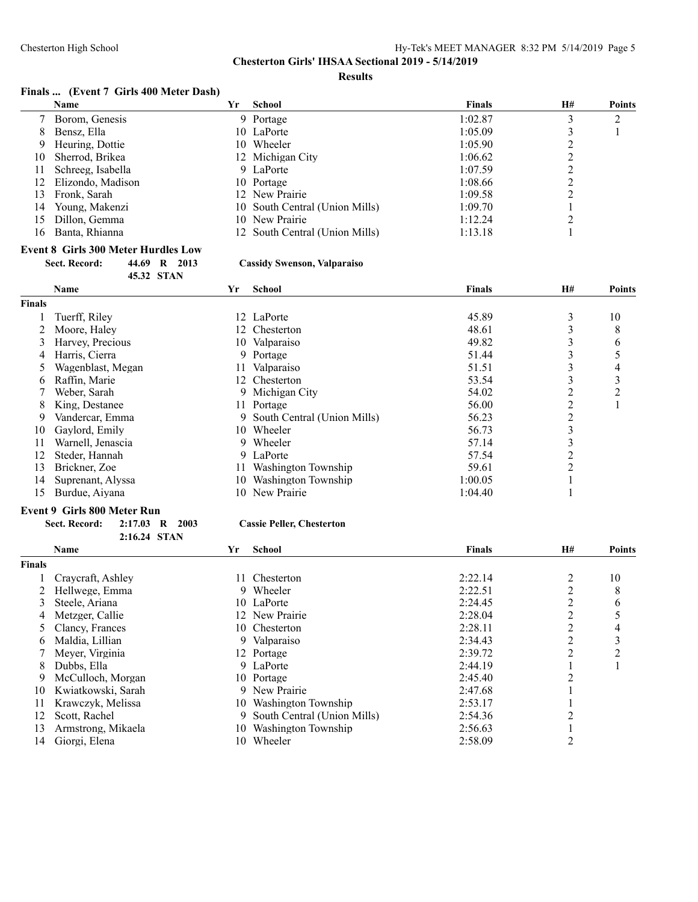**Results**

#### **Finals ... (Event 7 Girls 400 Meter Dash)**

|     | <b>Name</b>       | Yr | School                         | <b>Finals</b> | H# | <b>Points</b> |
|-----|-------------------|----|--------------------------------|---------------|----|---------------|
|     | Borom, Genesis    |    | 9 Portage                      | 1:02.87       |    |               |
| 8   | Bensz, Ella       |    | 10 LaPorte                     | 1:05.09       |    |               |
| 9   | Heuring, Dottie   |    | 10 Wheeler                     | 1:05.90       |    |               |
| 10  | Sherrod, Brikea   |    | 12 Michigan City               | 1:06.62       |    |               |
| 11  | Schreeg, Isabella |    | 9 LaPorte                      | 1:07.59       |    |               |
| 12. | Elizondo, Madison |    | 10 Portage                     | 1:08.66       |    |               |
| 13  | Fronk, Sarah      |    | 12 New Prairie                 | 1:09.58       |    |               |
| 14  | Young, Makenzi    |    | 10 South Central (Union Mills) | 1:09.70       |    |               |
| 15  | Dillon, Gemma     |    | 10 New Prairie                 | 1:12.24       |    |               |
| 16  | Banta, Rhianna    |    | 12 South Central (Union Mills) | 1:13.18       |    |               |
|     |                   |    |                                |               |    |               |

# **Event 8 Girls 300 Meter Hurdles Low<br>Sect. Record:** 44.69 R 2013

**45.32 STAN**

**2:16.24 STAN**

### **Sect. Record: 44.69 R 2013 Cassidy Swenson, Valparaiso**

|               | Name              | Yr  | <b>School</b>               | <b>Finals</b> | <b>H#</b>      | Points |
|---------------|-------------------|-----|-----------------------------|---------------|----------------|--------|
| <b>Finals</b> |                   |     |                             |               |                |        |
|               | Tuerff, Riley     |     | 12 LaPorte                  | 45.89         | 3              | 10     |
|               | Moore, Haley      |     | 12 Chesterton               | 48.61         |                | 8      |
|               | Harvey, Precious  | 10  | Valparaiso                  | 49.82         |                | 6      |
| 4             | Harris, Cierra    | 9.  | Portage                     | 51.44         |                |        |
|               | Wagenblast, Megan |     | Valparaiso                  | 51.51         |                | 4      |
| 6.            | Raffin, Marie     | 12. | Chesterton                  | 53.54         |                | 3      |
|               | Weber, Sarah      |     | 9 Michigan City             | 54.02         |                | າ      |
| 8             | King, Destanee    |     | 11 Portage                  | 56.00         |                |        |
| 9.            | Vandercar, Emma   | 9.  | South Central (Union Mills) | 56.23         | 2              |        |
| 10            | Gaylord, Emily    | 10. | Wheeler                     | 56.73         |                |        |
|               | Warnell, Jenascia | 9.  | Wheeler                     | 57.14         |                |        |
|               | Steder, Hannah    |     | 9 LaPorte                   | 57.54         |                |        |
| 13            | Brickner, Zoe     |     | Washington Township         | 59.61         | $\mathfrak{D}$ |        |
| 14            | Suprenant, Alyssa | 10  | Washington Township         | 1:00.05       |                |        |
| 15            | Burdue, Aiyana    | 10- | New Prairie                 | 1:04.40       |                |        |

#### **Event 9 Girls 800 Meter Run**

| <b>Sect. Record:</b> | 2:17.03 R 2003 |  |  | <b>Cassie Peller, Chesterton</b> |
|----------------------|----------------|--|--|----------------------------------|
|----------------------|----------------|--|--|----------------------------------|

|               | <b>Name</b>        | Yr  | <b>School</b>               | <b>Finals</b> | <b>H#</b> | <b>Points</b> |
|---------------|--------------------|-----|-----------------------------|---------------|-----------|---------------|
| <b>Finals</b> |                    |     |                             |               |           |               |
|               | Craycraft, Ashley  |     | Chesterton                  | 2:22.14       |           | 10            |
|               | Hellwege, Emma     | 9.  | Wheeler                     | 2:22.51       |           | 8             |
| 3             | Steele, Ariana     |     | 10 LaPorte                  | 2:24.45       |           | 6             |
| 4             | Metzger, Callie    |     | 12 New Prairie              | 2:28.04       |           |               |
|               | Clancy, Frances    |     | 10 Chesterton               | 2:28.11       |           | 4             |
| 6.            | Maldia, Lillian    | 9.  | Valparaiso                  | 2:34.43       |           | 3             |
|               | Meyer, Virginia    |     | 12 Portage                  | 2:39.72       |           | ↑             |
| 8.            | Dubbs, Ella        |     | 9 LaPorte                   | 2:44.19       |           |               |
| 9             | McCulloch, Morgan  |     | 10 Portage                  | 2:45.40       |           |               |
| 10            | Kwiatkowski, Sarah | 9   | New Prairie                 | 2:47.68       |           |               |
| 11            | Krawczyk, Melissa  |     | 10 Washington Township      | 2:53.17       |           |               |
| 12            | Scott, Rachel      | 9.  | South Central (Union Mills) | 2:54.36       |           |               |
| 13            | Armstrong, Mikaela | 10. | Washington Township         | 2:56.63       |           |               |
| 14            | Giorgi, Elena      | 10  | Wheeler                     | 2:58.09       |           |               |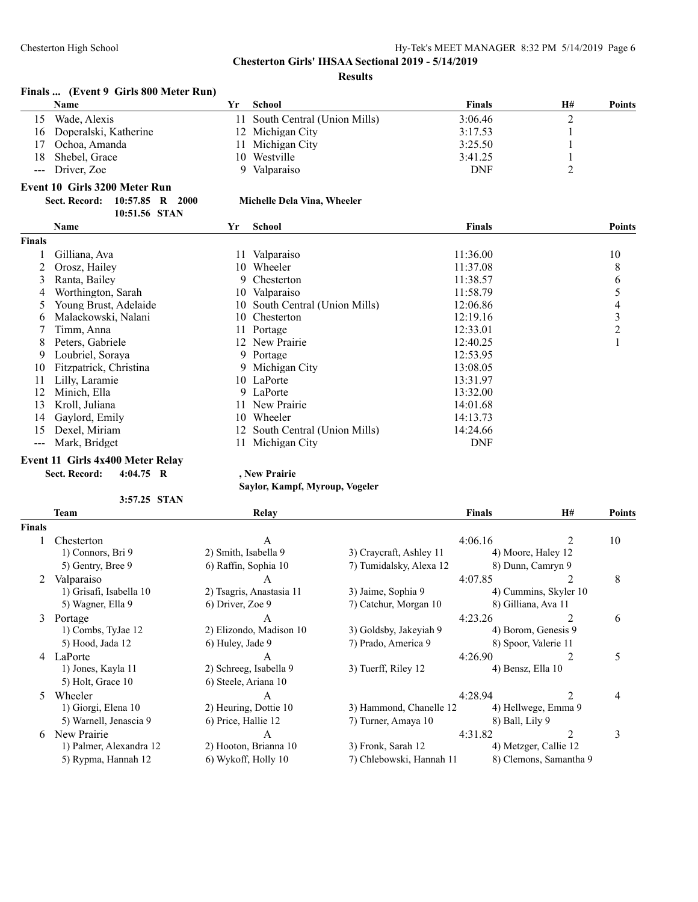#### **Results**

|    |                                       |              | --------                       |               |    |               |
|----|---------------------------------------|--------------|--------------------------------|---------------|----|---------------|
|    | Finals  (Event 9 Girls 800 Meter Run) |              |                                |               |    |               |
|    | <b>Name</b>                           | ťг.          | School                         | <b>Finals</b> | H# | <b>Points</b> |
| 15 | Wade, Alexis                          |              | 11 South Central (Union Mills) | 3:06.46       |    |               |
| 16 | Doperalski, Katherine                 |              | 12 Michigan City               | 3:17.53       |    |               |
| 17 | Ochoa, Amanda                         | $\mathbf{L}$ | Michigan City                  | 3:25.50       |    |               |
| 18 | Shebel, Grace                         |              | 10 Westville                   | 3:41.25       |    |               |
|    | --- Driver, Zoe                       |              | Valparaiso                     | <b>DNF</b>    |    |               |
|    | .                                     |              |                                |               |    |               |

### **Event 10 Girls 3200 Meter Run**

| Sect. Record: 10:57.85 R 2000 |               |  |  |
|-------------------------------|---------------|--|--|
|                               | 10:51.56 STAN |  |  |

#### **Sect. Record: 10:57.85 R 2000 Michelle Dela Vina, Wheeler**

|        | 10.31.30 STAT          |     |                                |               |               |
|--------|------------------------|-----|--------------------------------|---------------|---------------|
|        | <b>Name</b>            | Yr  | School                         | <b>Finals</b> | <b>Points</b> |
| Finals |                        |     |                                |               |               |
|        | Gilliana, Ava          | 11  | Valparaiso                     | 11:36.00      | 10            |
|        | Orosz, Hailey          | 10  | Wheeler                        | 11:37.08      | 8             |
| 3      | Ranta, Bailey          |     | 9 Chesterton                   | 11:38.57      | 6             |
|        | Worthington, Sarah     | 10  | Valparaiso                     | 11:58.79      | 5             |
| 5      | Young Brust, Adelaide  | 10  | South Central (Union Mills)    | 12:06.86      | 4             |
| 6      | Malackowski, Nalani    | 10  | Chesterton                     | 12:19.16      | 3             |
|        | Timm, Anna             | 11  | Portage                        | 12:33.01      | 2             |
| 8      | Peters, Gabriele       | 12  | New Prairie                    | 12:40.25      |               |
| 9      | Loubriel, Soraya       |     | 9 Portage                      | 12:53.95      |               |
| 10     | Fitzpatrick, Christina |     | 9 Michigan City                | 13:08.05      |               |
| 11     | Lilly, Laramie         | 10. | LaPorte                        | 13:31.97      |               |
| 12     | Minich, Ella           |     | 9 LaPorte                      | 13:32.00      |               |
| 13     | Kroll, Juliana         |     | New Prairie                    | 14:01.68      |               |
| 14     | Gaylord, Emily         | 10  | Wheeler                        | 14:13.73      |               |
| 15     | Dexel, Miriam          |     | 12 South Central (Union Mills) | 14:24.66      |               |
| $---$  | Mark, Bridget          |     | Michigan City                  | <b>DNF</b>    |               |
|        |                        |     |                                |               |               |

## **Event 11 Girls 4x400 Meter Relay**

**Sect. Record: 4:04.75 R , New Prairie**

**3:57.25 STAN**

**Saylor, Kampf, Myroup, Vogeler**

|                | 3:57.25 STAN            |                          |                          |                   |                        |               |
|----------------|-------------------------|--------------------------|--------------------------|-------------------|------------------------|---------------|
|                | Team                    | Relay                    |                          | <b>Finals</b>     | <b>H#</b>              | <b>Points</b> |
| <b>Finals</b>  |                         |                          |                          |                   |                        |               |
|                | Chesterton              | A                        |                          | 4:06.16           |                        | 10            |
|                | 1) Connors, Bri 9       | 2) Smith, Isabella 9     | 3) Craycraft, Ashley 11  |                   | 4) Moore, Haley 12     |               |
|                | 5) Gentry, Bree 9       | 6) Raffin, Sophia 10     | 7) Tumidalsky, Alexa 12  |                   | 8) Dunn, Camryn 9      |               |
| $\overline{2}$ | Valparaiso              | A                        |                          | 4:07.85           |                        | 8             |
|                | 1) Grisafi, Isabella 10 | 2) Tsagris, Anastasia 11 | 3) Jaime, Sophia 9       |                   | 4) Cummins, Skyler 10  |               |
|                | 5) Wagner, Ella 9       | 6) Driver, Zoe 9         | 7) Catchur, Morgan 10    |                   | 8) Gilliana, Ava 11    |               |
| 3              | Portage                 | A                        |                          | 4:23.26           |                        | 6             |
|                | 1) Combs, TyJae 12      | 2) Elizondo, Madison 10  | 3) Goldsby, Jakeyiah 9   |                   | 4) Borom, Genesis 9    |               |
|                | 5) Hood, Jada 12        | 6) Huley, Jade 9         | 7) Prado, America 9      |                   | 8) Spoor, Valerie 11   |               |
| 4              | LaPorte                 |                          |                          | 4:26.90           | 2                      | 5             |
|                | 1) Jones, Kayla 11      | 2) Schreeg, Isabella 9   | 3) Tuerff, Riley 12      | 4) Bensz, Ella 10 |                        |               |
|                | 5) Holt, Grace 10       | 6) Steele, Ariana 10     |                          |                   |                        |               |
| 5.             | Wheeler                 | A                        |                          | 4:28.94           |                        | 4             |
|                | 1) Giorgi, Elena 10     | 2) Heuring, Dottie 10    | 3) Hammond, Chanelle 12  |                   | 4) Hellwege, Emma 9    |               |
|                | 5) Warnell, Jenascia 9  | 6) Price, Hallie 12      | 7) Turner, Amaya 10      | 8) Ball, Lily 9   |                        |               |
| 6              | New Prairie             | A                        |                          | 4:31.82           | 2                      | 3             |
|                | 1) Palmer, Alexandra 12 | 2) Hooton, Brianna 10    | 3) Fronk, Sarah 12       |                   | 4) Metzger, Callie 12  |               |
|                | 5) Rypma, Hannah 12     | 6) Wykoff, Holly 10      | 7) Chlebowski, Hannah 11 |                   | 8) Clemons, Samantha 9 |               |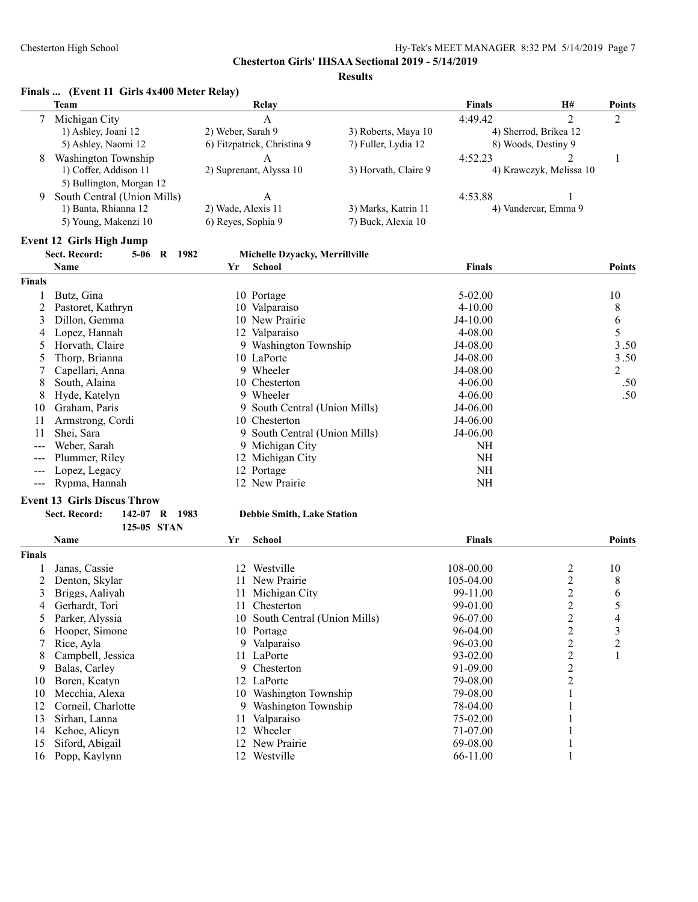#### **Results**

#### **Finals ... (Event 11 Girls 4x400 Meter Relay)**

|   | Team                        | Relay                       |                      | <b>Finals</b> | H#                      | <b>Points</b>  |
|---|-----------------------------|-----------------------------|----------------------|---------------|-------------------------|----------------|
|   | Michigan City               | A                           |                      | 4.4942        |                         | $\overline{2}$ |
|   | 1) Ashley, Joani 12         | 2) Weber, Sarah 9           | 3) Roberts, Maya 10  |               | 4) Sherrod, Brikea 12   |                |
|   | 5) Ashley, Naomi 12         | 6) Fitzpatrick, Christina 9 | 7) Fuller, Lydia 12  |               | 8) Woods, Destiny 9     |                |
| 8 | Washington Township         | A                           |                      | 4:52.23       |                         |                |
|   | 1) Coffer, Addison 11       | 2) Suprenant, Alyssa 10     | 3) Horvath, Claire 9 |               | 4) Krawczyk, Melissa 10 |                |
|   | 5) Bullington, Morgan 12    |                             |                      |               |                         |                |
| 9 | South Central (Union Mills) |                             |                      | 4:53.88       |                         |                |
|   | 1) Banta, Rhianna 12        | 2) Wade, Alexis 11          | 3) Marks, Katrin 11  |               | 4) Vandercar, Emma 9    |                |
|   | 5) Young, Makenzi 10        | 6) Reyes, Sophia 9          | 7) Buck, Alexia 10   |               |                         |                |
|   |                             |                             |                      |               |                         |                |

#### **Event 12 Girls High Jump**

# **Sect. Record: 5-06 R 1982 Michelle Dzyacky, Merrillville**

|               | Name              | Yr | <b>School</b>                 | <b>Finals</b> | <b>Points</b> |
|---------------|-------------------|----|-------------------------------|---------------|---------------|
| <b>Finals</b> |                   |    |                               |               |               |
|               | Butz, Gina        |    | 10 Portage                    | $5 - 02.00$   | 10            |
|               | Pastoret, Kathryn |    | 10 Valparaiso                 | $4 - 10.00$   | 8             |
| 3             | Dillon, Gemma     |    | 10 New Prairie                | $J4-10.00$    | 6             |
| 4             | Lopez, Hannah     |    | 12 Valparaiso                 | $4 - 08.00$   | 5             |
|               | Horvath, Claire   |    | 9 Washington Township         | J4-08.00      | 3.50          |
|               | Thorp, Brianna    |    | 10 LaPorte                    | $J4-08.00$    | 3.50          |
|               | Capellari, Anna   |    | 9 Wheeler                     | $J4-08.00$    | 2             |
| 8             | South, Alaina     |    | 10 Chesterton                 | $4 - 06.00$   | .50           |
| 8             | Hyde, Katelyn     |    | 9 Wheeler                     | $4 - 06.00$   | .50           |
| 10            | Graham, Paris     |    | 9 South Central (Union Mills) | $J4-06.00$    |               |
| 11            | Armstrong, Cordi  |    | 10 Chesterton                 | $J4-06.00$    |               |
| 11            | Shei, Sara        |    | 9 South Central (Union Mills) | J4-06.00      |               |
| ---           | Weber, Sarah      |    | 9 Michigan City               | NΗ            |               |
|               | Plummer, Riley    |    | 12 Michigan City              | NH            |               |
|               | Lopez, Legacy     |    | 12 Portage                    | NH            |               |
| $---$         | Rypma, Hannah     |    | 12 New Prairie                | NΗ            |               |

#### **Event 13 Girls Discus Throw**

| Sect. Record: | 142-07 R 1983 |  |
|---------------|---------------|--|
|               | 125-05 STAN   |  |

#### **Sect. Record: 142-07 R 1983 Debbie Smith, Lake Station**

|               | Name               | Yr  | School                         | <b>Finals</b> |   | Points |
|---------------|--------------------|-----|--------------------------------|---------------|---|--------|
| <b>Finals</b> |                    |     |                                |               |   |        |
|               | Janas, Cassie      | 12  | Westville                      | 108-00.00     | 2 | 10     |
|               | Denton, Skylar     |     | New Prairie                    | 105-04.00     | 2 | 8      |
| 3             | Briggs, Aaliyah    |     | Michigan City                  | 99-11.00      | 2 | 6      |
| 4             | Gerhardt, Tori     | 11. | Chesterton                     | 99-01.00      | 2 |        |
| 5             | Parker, Alyssia    |     | 10 South Central (Union Mills) | 96-07.00      | 2 | 4      |
| 6             | Hooper, Simone     |     | 10 Portage                     | $96-04.00$    | 2 | 3      |
|               | Rice, Ayla         | 9.  | Valparaiso                     | 96-03.00      | 2 | 2      |
| 8             | Campbell, Jessica  |     | 11 LaPorte                     | $93 - 02.00$  | 2 |        |
| 9             | Balas, Carley      | 9.  | Chesterton                     | 91-09.00      | 2 |        |
| 10            | Boren, Keatyn      | 12  | LaPorte                        | 79-08.00      | 2 |        |
| 10            | Mecchia, Alexa     | 10. | Washington Township            | 79-08.00      |   |        |
| 12            | Corneil, Charlotte | 9.  | Washington Township            | 78-04.00      |   |        |
| 13            | Sirhan, Lanna      |     | Valparaiso                     | 75-02.00      |   |        |
| 14            | Kehoe, Alicyn      | 12  | Wheeler                        | 71-07.00      |   |        |
| 15            | Siford, Abigail    |     | New Prairie                    | 69-08.00      |   |        |
| 16            | Popp, Kaylynn      |     | Westville                      | 66-11.00      |   |        |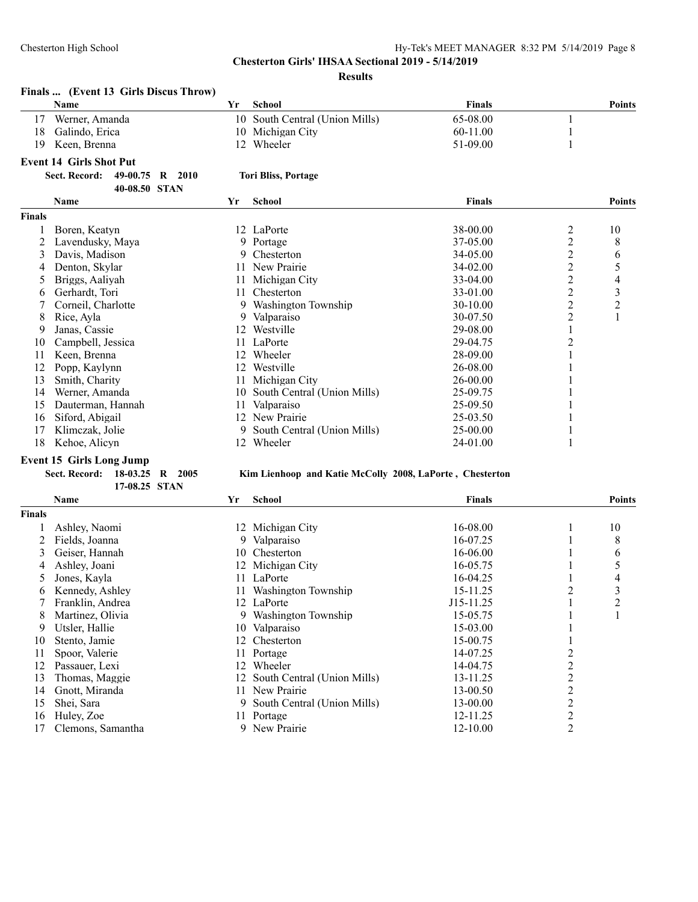#### **Results**

|               | Finals  (Event 13 Girls Discus Throw)<br>Name                                          | Yr | <b>School</b>               | <b>Finals</b> |                         | <b>Points</b>           |
|---------------|----------------------------------------------------------------------------------------|----|-----------------------------|---------------|-------------------------|-------------------------|
| 17            | Werner, Amanda                                                                         | 10 | South Central (Union Mills) | 65-08.00      |                         |                         |
| 18            | Galindo, Erica                                                                         |    | 10 Michigan City            | 60-11.00      |                         |                         |
| 19            | Keen, Brenna                                                                           | 12 | Wheeler                     | 51-09.00      |                         |                         |
|               |                                                                                        |    |                             |               |                         |                         |
|               | <b>Event 14 Girls Shot Put</b><br>Sect. Record:<br>49-00.75<br>R 2010<br>40-08.50 STAN |    | <b>Tori Bliss, Portage</b>  |               |                         |                         |
|               | <b>Name</b>                                                                            | Yr | <b>School</b>               | <b>Finals</b> |                         | <b>Points</b>           |
| <b>Finals</b> |                                                                                        |    |                             |               |                         |                         |
|               | Boren, Keatyn                                                                          |    | 12 LaPorte                  | 38-00.00      | $\overline{c}$          | 10                      |
|               | Lavendusky, Maya                                                                       |    | 9 Portage                   | 37-05.00      | $\overline{c}$          | 8                       |
| 3             | Davis, Madison                                                                         | 9. | Chesterton                  | 34-05.00      | $\overline{\mathbf{c}}$ | 6                       |
|               | Denton, Skylar                                                                         | 11 | New Prairie                 | $34 - 02.00$  | $\overline{c}$          | 5                       |
| 5             | Briggs, Aaliyah                                                                        | 11 | Michigan City               | 33-04.00      | $\overline{c}$          | $\overline{4}$          |
| 6             | Gerhardt, Tori                                                                         | 11 | Chesterton                  | 33-01.00      | $\overline{c}$          | $\overline{\mathbf{3}}$ |
|               | Corneil, Charlotte                                                                     | 9. | Washington Township         | 30-10.00      | $\overline{c}$          | $\overline{c}$          |
| 8             | Rice, Ayla                                                                             |    | Valparaiso                  | 30-07.50      | $\overline{c}$          | $\mathbf{1}$            |
|               | Janas, Cassie                                                                          | 12 | Westville                   | 29-08.00      |                         |                         |
| 10            | Campbell, Jessica                                                                      |    | 11 LaPorte                  | 29-04.75      | 2                       |                         |
| 11            | Keen, Brenna                                                                           | 12 | Wheeler                     | 28-09.00      |                         |                         |
| 12            | Popp, Kaylynn                                                                          | 12 | Westville                   | $26 - 08.00$  |                         |                         |
| 13            | Smith, Charity                                                                         | 11 | Michigan City               | 26-00.00      |                         |                         |
| 14            | Werner, Amanda                                                                         | 10 | South Central (Union Mills) | 25-09.75      |                         |                         |
| 15            | Dauterman, Hannah                                                                      | 11 | Valparaiso                  | 25-09.50      |                         |                         |
| 16            | Siford, Abigail                                                                        | 12 | New Prairie                 | 25-03.50      |                         |                         |
| 17            | Klimczak, Jolie                                                                        |    | South Central (Union Mills) | 25-00.00      |                         |                         |
| 18            | Kehoe, Alicyn                                                                          |    | 12 Wheeler                  | 24-01.00      |                         |                         |

### **Event 15 Girls Long Jump**

#### **Sect. Record: 18-03.25 R 2005 Kim Lienhoop and Katie McColly 2008, LaPorte , Chesterton**

|               | 17-08.25 STAN     |    |                             |               |   |               |
|---------------|-------------------|----|-----------------------------|---------------|---|---------------|
|               | Name              | Yr | <b>School</b>               | <b>Finals</b> |   | <b>Points</b> |
| <b>Finals</b> |                   |    |                             |               |   |               |
|               | Ashley, Naomi     | 12 | Michigan City               | 16-08.00      |   | 10            |
|               | Fields, Joanna    | 9  | Valparaiso                  | 16-07.25      |   | 8             |
| 3             | Geiser, Hannah    | 10 | Chesterton                  | 16-06.00      |   | 6             |
| 4             | Ashley, Joani     | 12 | Michigan City               | 16-05.75      |   | 5             |
| Ć.            | Jones, Kayla      |    | LaPorte                     | 16-04.25      |   | 4             |
| 6             | Kennedy, Ashley   |    | Washington Township         | 15-11.25      | 2 | 3             |
|               | Franklin, Andrea  |    | 12 LaPorte                  | J15-11.25     |   | 2             |
| 8             | Martinez, Olivia  | 9  | Washington Township         | 15-05.75      |   |               |
| 9             | Utsler, Hallie    | 10 | Valparaiso                  | 15-03.00      |   |               |
| 10            | Stento, Jamie     | 12 | Chesterton                  | 15-00.75      |   |               |
| 11            | Spoor, Valerie    |    | Portage                     | 14-07.25      |   |               |
| 12            | Passauer, Lexi    | 12 | Wheeler                     | 14-04.75      | 2 |               |
| 13            | Thomas, Maggie    | 12 | South Central (Union Mills) | 13-11.25      | 2 |               |
| 14            | Gnott, Miranda    |    | New Prairie                 | 13-00.50      | 2 |               |
| 15            | Shei, Sara        | 9  | South Central (Union Mills) | 13-00.00      | 2 |               |
| 16            | Huley, Zoe        |    | Portage                     | 12-11.25      | 2 |               |
| 17            | Clemons, Samantha |    | New Prairie                 | 12-10.00      | 2 |               |